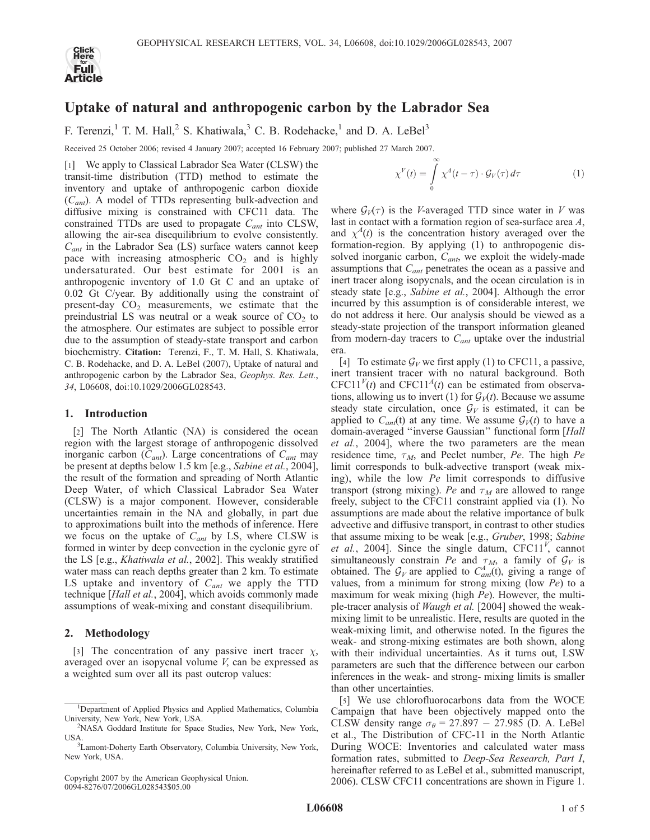

# Uptake of natural and anthropogenic carbon by the Labrador Sea

F. Terenzi,<sup>1</sup> T. M. Hall,<sup>2</sup> S. Khatiwala,<sup>3</sup> C. B. Rodehacke,<sup>1</sup> and D. A. LeBel<sup>3</sup>

Received 25 October 2006; revised 4 January 2007; accepted 16 February 2007; published 27 March 2007.

[1] We apply to Classical Labrador Sea Water (CLSW) the transit-time distribution (TTD) method to estimate the inventory and uptake of anthropogenic carbon dioxide  $(C_{ant})$ . A model of TTDs representing bulk-advection and diffusive mixing is constrained with CFC11 data. The constrained TTDs are used to propagate  $C_{ant}$  into CLSW, allowing the air-sea disequilibrium to evolve consistently.  $C_{ant}$  in the Labrador Sea (LS) surface waters cannot keep pace with increasing atmospheric  $CO<sub>2</sub>$  and is highly undersaturated. Our best estimate for 2001 is an anthropogenic inventory of 1.0 Gt C and an uptake of 0.02 Gt C/year. By additionally using the constraint of present-day  $CO<sub>2</sub>$  measurements, we estimate that the preindustrial LS was neutral or a weak source of  $CO<sub>2</sub>$  to the atmosphere. Our estimates are subject to possible error due to the assumption of steady-state transport and carbon biochemistry. Citation: Terenzi, F., T. M. Hall, S. Khatiwala, C. B. Rodehacke, and D. A. LeBel (2007), Uptake of natural and anthropogenic carbon by the Labrador Sea, Geophys. Res. Lett., 34, L06608, doi:10.1029/2006GL028543.

## 1. Introduction

[2] The North Atlantic (NA) is considered the ocean region with the largest storage of anthropogenic dissolved inorganic carbon  $(C_{ant})$ . Large concentrations of  $C_{ant}$  may be present at depths below 1.5 km [e.g., Sabine et al., 2004], the result of the formation and spreading of North Atlantic Deep Water, of which Classical Labrador Sea Water (CLSW) is a major component. However, considerable uncertainties remain in the NA and globally, in part due to approximations built into the methods of inference. Here we focus on the uptake of  $C_{ant}$  by LS, where CLSW is formed in winter by deep convection in the cyclonic gyre of the LS [e.g., Khatiwala et al., 2002]. This weakly stratified water mass can reach depths greater than 2 km. To estimate LS uptake and inventory of  $C_{ant}$  we apply the TTD technique [Hall et al., 2004], which avoids commonly made assumptions of weak-mixing and constant disequilibrium.

## 2. Methodology

[3] The concentration of any passive inert tracer  $\chi$ , averaged over an isopycnal volume V, can be expressed as a weighted sum over all its past outcrop values:

$$
\chi^{V}(t) = \int_{0}^{\infty} \chi^{A}(t-\tau) \cdot \mathcal{G}_{V}(\tau) d\tau \tag{1}
$$

where  $G_V(\tau)$  is the V-averaged TTD since water in V was last in contact with a formation region of sea-surface area A, and  $\chi^A(t)$  is the concentration history averaged over the formation-region. By applying (1) to anthropogenic dissolved inorganic carbon,  $C_{ant}$ , we exploit the widely-made assumptions that  $C_{ant}$  penetrates the ocean as a passive and inert tracer along isopycnals, and the ocean circulation is in steady state [e.g., Sabine et al., 2004]. Although the error incurred by this assumption is of considerable interest, we do not address it here. Our analysis should be viewed as a steady-state projection of the transport information gleaned from modern-day tracers to  $C_{ant}$  uptake over the industrial era.

[4] To estimate  $\mathcal{G}_V$  we first apply (1) to CFC11, a passive, inert transient tracer with no natural background. Both  $CFC11<sup>V</sup>(t)$  and  $CFC11<sup>A</sup>(t)$  can be estimated from observations, allowing us to invert (1) for  $\mathcal{G}_V(t)$ . Because we assume steady state circulation, once  $\mathcal{G}_V$  is estimated, it can be applied to  $C_{ant}(t)$  at any time. We assume  $\mathcal{G}_{V}(t)$  to have a domain-averaged "inverse Gaussian" functional form [Hall et al., 2004], where the two parameters are the mean residence time,  $\tau_M$ , and Peclet number, Pe. The high Pe limit corresponds to bulk-advective transport (weak mixing), while the low Pe limit corresponds to diffusive transport (strong mixing). Pe and  $\tau_M$  are allowed to range freely, subject to the CFC11 constraint applied via (1). No assumptions are made about the relative importance of bulk advective and diffusive transport, in contrast to other studies that assume mixing to be weak [e.g., Gruber, 1998; Sabine et al., 2004]. Since the single datum,  $CFC11^{V}$ , cannot simultaneously constrain Pe and  $\tau_M$ , a family of  $\mathcal{G}_V$  is obtained. The  $G_V$  are applied to  $C_{ant}^{A}$ (t), giving a range of values, from a minimum for strong mixing (low  $Pe$ ) to a maximum for weak mixing (high Pe). However, the multiple-tracer analysis of *Waugh et al.* [2004] showed the weakmixing limit to be unrealistic. Here, results are quoted in the weak-mixing limit, and otherwise noted. In the figures the weak- and strong-mixing estimates are both shown, along with their individual uncertainties. As it turns out, LSW parameters are such that the difference between our carbon inferences in the weak- and strong- mixing limits is smaller than other uncertainties.

[5] We use chlorofluorocarbons data from the WOCE Campaign that have been objectively mapped onto the CLSW density range  $\sigma_{\theta} = 27.897 - 27.985$  (D. A. LeBel et al., The Distribution of CFC-11 in the North Atlantic During WOCE: Inventories and calculated water mass formation rates, submitted to Deep-Sea Research, Part I, hereinafter referred to as LeBel et al., submitted manuscript, 2006). CLSW CFC11 concentrations are shown in Figure 1.

<sup>&</sup>lt;sup>1</sup>Department of Applied Physics and Applied Mathematics, Columbia University, New York, New York, USA. <sup>2</sup>

<sup>&</sup>lt;sup>2</sup>NASA Goddard Institute for Space Studies, New York, New York, USA. <sup>3</sup> Lamont-Doherty Earth Observatory, Columbia University, New York,

New York, USA.

Copyright 2007 by the American Geophysical Union. 0094-8276/07/2006GL028543\$05.00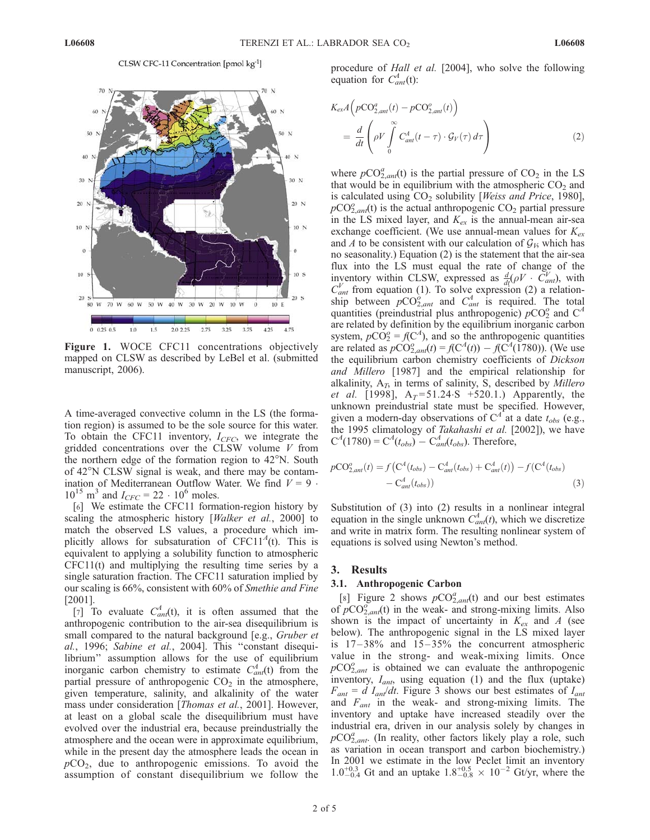CLSW CFC-11 Concentration [pmol kg-1]



Figure 1. WOCE CFC11 concentrations objectively mapped on CLSW as described by LeBel et al. (submitted manuscript, 2006).

A time-averaged convective column in the LS (the formation region) is assumed to be the sole source for this water. To obtain the CFC11 inventory,  $I_{CFC}$ , we integrate the gridded concentrations over the CLSW volume  $V$  from the northern edge of the formation region to 42°N. South of 42°N CLSW signal is weak, and there may be contamination of Mediterranean Outflow Water. We find  $V = 9$ .  $10^{15}$  m<sup>3</sup> and  $I_{CFC} = 22 \cdot 10^{6}$  moles.

[6] We estimate the CFC11 formation-region history by scaling the atmospheric history [Walker et al., 2000] to match the observed LS values, a procedure which implicitly allows for subsaturation of CFC11<sup>A</sup>(t). This is equivalent to applying a solubility function to atmospheric CFC11(t) and multiplying the resulting time series by a single saturation fraction. The CFC11 saturation implied by our scaling is 66%, consistent with 60% of Smethie and Fine [2001].

[7] To evaluate  $C<sub>ant</sub><sup>A</sup>(t)$ , it is often assumed that the anthropogenic contribution to the air-sea disequilibrium is small compared to the natural background [e.g., *Gruber et* al., 1996; Sabine et al., 2004]. This ''constant disequilibrium'' assumption allows for the use of equilibrium inorganic carbon chemistry to estimate  $C<sub>ant</sub><sup>4</sup>(t)$  from the partial pressure of anthropogenic  $CO<sub>2</sub>$  in the atmosphere, given temperature, salinity, and alkalinity of the water mass under consideration [Thomas et al., 2001]. However, at least on a global scale the disequilibrium must have evolved over the industrial era, because preindustrially the atmosphere and the ocean were in approximate equilibrium, while in the present day the atmosphere leads the ocean in  $pCO<sub>2</sub>$ , due to anthropogenic emissions. To avoid the assumption of constant disequilibrium we follow the procedure of Hall et al. [2004], who solve the following equation for  $C<sub>ant</sub><sup>A</sup>(t)$ :

$$
K_{ex}A\left(p\text{CO}_{2,ant}^{a}(t) - p\text{CO}_{2,ant}^{o}(t)\right)
$$
  
= 
$$
\frac{d}{dt}\left(\rho V \int_{0}^{\infty} C_{ant}^{A}(t-\tau) \cdot \mathcal{G}_{V}(\tau) d\tau\right)
$$
 (2)

where  $pCO_{2,ant}^{a}(t)$  is the partial pressure of  $CO_{2}$  in the LS that would be in equilibrium with the atmospheric  $CO<sub>2</sub>$  and is calculated using  $CO<sub>2</sub>$  solubility [Weiss and Price, 1980],  $pCO_{2,ant}^{o}(t)$  is the actual anthropogenic  $CO_{2}$  partial pressure in the LS mixed layer, and  $K_{ex}$  is the annual-mean air-sea exchange coefficient. (We use annual-mean values for  $K_{ex}$ and A to be consistent with our calculation of  $\mathcal{G}_V$ , which has no seasonality.) Equation (2) is the statement that the air-sea flux into the LS must equal the rate of change of the inventory within CLSW, expressed as  $\frac{d}{dt}(\rho V \cdot \tilde{C}_{ant}^{V})$ , with  $C_{ant}^V$  from equation (1). To solve expression (2) a relationship between  $pCO_{2,ant}^{\delta}$  and  $C_{ant}^{\delta}$  is required. The total quantities (preindustrial plus anthropogenic)  $pCO_2^o$  and  $C^A$ are related by definition by the equilibrium inorganic carbon system,  $p\text{CO}_2^o = f(\text{C}^A)$ , and so the anthropogenic quantities are related as  $pCO_{2,ant}^o(t) = f(C^A(t)) - f(C^A(1780))$ . (We use the equilibrium carbon chemistry coefficients of Dickson and Millero [1987] and the empirical relationship for alkalinity,  $A_T$ , in terms of salinity, S, described by *Millero et al.* [1998],  $A_T = 51.24 \cdot S + 520.1$ .) Apparently, the unknown preindustrial state must be specified. However, given a modern-day observations of  $C^A$  at a date  $t_{obs}$  (e.g., the 1995 climatology of Takahashi et al. [2002]), we have  $C<sup>A</sup>(1780) = C<sup>A</sup>(t<sub>obs</sub>) - C<sub>ant</sub><sup>A</sup>(t<sub>obs</sub>)$ . Therefore,

$$
pCO_{2,ant}^{o}(t) = f(C^{A}(t_{obs}) - C_{ant}^{A}(t_{obs}) + C_{ant}^{A}(t)) - f(C^{A}(t_{obs}) - C_{ant}^{A}(t_{obs}))
$$
\n(3)

Substitution of (3) into (2) results in a nonlinear integral equation in the single unknown  $C<sub>ant</sub><sup>4</sup>(t)$ , which we discretize and write in matrix form. The resulting nonlinear system of equations is solved using Newton's method.

## 3. Results

#### 3.1. Anthropogenic Carbon

[8] Figure 2 shows  $pCO_{2,ant}^a(t)$  and our best estimates of  $pCO_{2,ant}^{\sigma}$  (t) in the weak- and strong-mixing limits. Also shown is the impact of uncertainty in  $K_{ex}$  and A (see below). The anthropogenic signal in the LS mixed layer is  $17-38\%$  and  $15-35\%$  the concurrent atmospheric value in the strong- and weak-mixing limits. Once  $pCO_{2,ant}^o$  is obtained we can evaluate the anthropogenic inventory,  $I_{ant}$ , using equation (1) and the flux (uptake)  $F_{ant} = d I_{ant}/dt$ . Figure 3 shows our best estimates of  $I_{ant}$ and  $F_{ant}$  in the weak- and strong-mixing limits. The inventory and uptake have increased steadily over the industrial era, driven in our analysis solely by changes in  $pCO_{2,ant}^{a}$ . (In reality, other factors likely play a role, such as variation in ocean transport and carbon biochemistry.) In 2001 we estimate in the low Peclet limit an inventory  $1.0^{+0.3}_{-0.4}$  Gt and an uptake  $1.8^{+0.5}_{-0.8} \times 10^{-2}$  Gt/yr, where the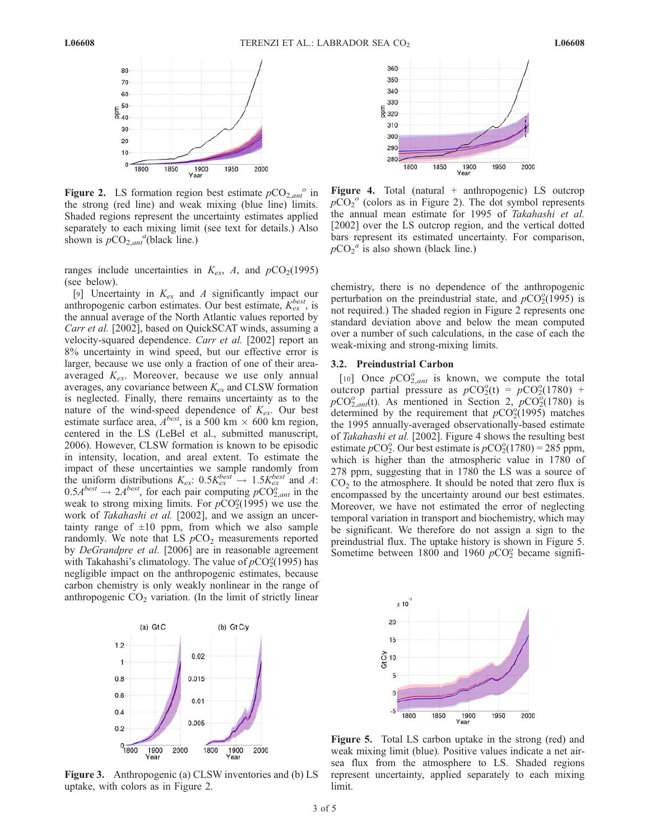

Figure 2. LS formation region best estimate  $pCO_{2,ant}^{\circ}$  in the strong (red line) and weak mixing (blue line) limits. Shaded regions represent the uncertainty estimates applied separately to each mixing limit (see text for details.) Also shown is  $pCO_{2,ant}$ <sup>a</sup>(black line.)

ranges include uncertainties in  $K_{ex}$ , A, and  $pCO_2(1995)$ (see below).

[9] Uncertainty in  $K_{ex}$  and A significantly impact our anthropogenic carbon estimates. Our best estimate,  $K_{ex}^{best}$ , is the annual average of the North Atlantic values reported by Carr et al. [2002], based on QuickSCAT winds, assuming a velocity-squared dependence. Carr et al. [2002] report an 8% uncertainty in wind speed, but our effective error is larger, because we use only a fraction of one of their areaaveraged  $K_{ex}$ . Moreover, because we use only annual averages, any covariance between  $K_{ex}$  and CLSW formation is neglected. Finally, there remains uncertainty as to the nature of the wind-speed dependence of  $K_{ex}$ . Our best estimate surface area,  $A^{best}$ , is a 500 km  $\times$  600 km region, centered in the LS (LeBel et al., submitted manuscript, 2006). However, CLSW formation is known to be episodic in intensity, location, and areal extent. To estimate the impact of these uncertainties we sample randomly from the uniform distributions  $K_{ex}: 0.5K_{ex}^{best} \rightarrow 1.5K_{ex}^{best}$  and A:  $0.5A^{best} \rightarrow 2A^{best}$ , for each pair computing  $pCO_{2,ant}^{\sigma}$  in the weak to strong mixing limits. For  $pCO_2^o(1995)$  we use the work of *Takahashi et al.* [2002], and we assign an uncertainty range of  $\pm 10$  ppm, from which we also sample randomly. We note that LS  $pCO<sub>2</sub>$  measurements reported by *DeGrandpre et al.* [2006] are in reasonable agreement with Takahashi's climatology. The value of  $pCO<sub>2</sub><sup>o</sup>(1995)$  has negligible impact on the anthropogenic estimates, because carbon chemistry is only weakly nonlinear in the range of anthropogenic  $CO<sub>2</sub>$  variation. (In the limit of strictly linear



Figure 4. Total (natural  $+$  anthropogenic) LS outcrop  $pCO<sub>2</sub>$ <sup>o</sup> (colors as in Figure 2). The dot symbol represents the annual mean estimate for 1995 of Takahashi et al. [2002] over the LS outcrop region, and the vertical dotted bars represent its estimated uncertainty. For comparison,  $pCO_2^a$  is also shown (black line.)

chemistry, there is no dependence of the anthropogenic perturbation on the preindustrial state, and  $pCO_2^o(1995)$  is not required.) The shaded region in Figure 2 represents one standard deviation above and below the mean computed over a number of such calculations, in the case of each the weak-mixing and strong-mixing limits.

#### 3.2. Preindustrial Carbon

[10] Once  $pCO_{2,ant}^o$  is known, we compute the total outcrop partial pressure as  $pCO<sub>2</sub><sup>o</sup>(t) = pCO<sub>2</sub><sup>o</sup>(1780) +$  $pCO_{2,ant}^{o}$ (t). As mentioned in Section 2,  $pCO_2^o(1780)$  is determined by the requirement that  $pCO_2^o(1995)$  matches the 1995 annually-averaged observationally-based estimate of Takahashi et al. [2002]. Figure 4 shows the resulting best estimate  $pCO_2^o$ . Our best estimate is  $pCO_2^o(1780) = 285$  ppm, which is higher than the atmospheric value in 1780 of 278 ppm, suggesting that in 1780 the LS was a source of  $CO<sub>2</sub>$  to the atmosphere. It should be noted that zero flux is encompassed by the uncertainty around our best estimates. Moreover, we have not estimated the error of neglecting temporal variation in transport and biochemistry, which may be significant. We therefore do not assign a sign to the preindustrial flux. The uptake history is shown in Figure 5. Sometime between  $1800$  and  $1960 pCO<sub>2</sub>$  became signifi-



Figure 3. Anthropogenic (a) CLSW inventories and (b) LS uptake, with colors as in Figure 2.



Figure 5. Total LS carbon uptake in the strong (red) and weak mixing limit (blue). Positive values indicate a net airsea flux from the atmosphere to LS. Shaded regions represent uncertainty, applied separately to each mixing limit.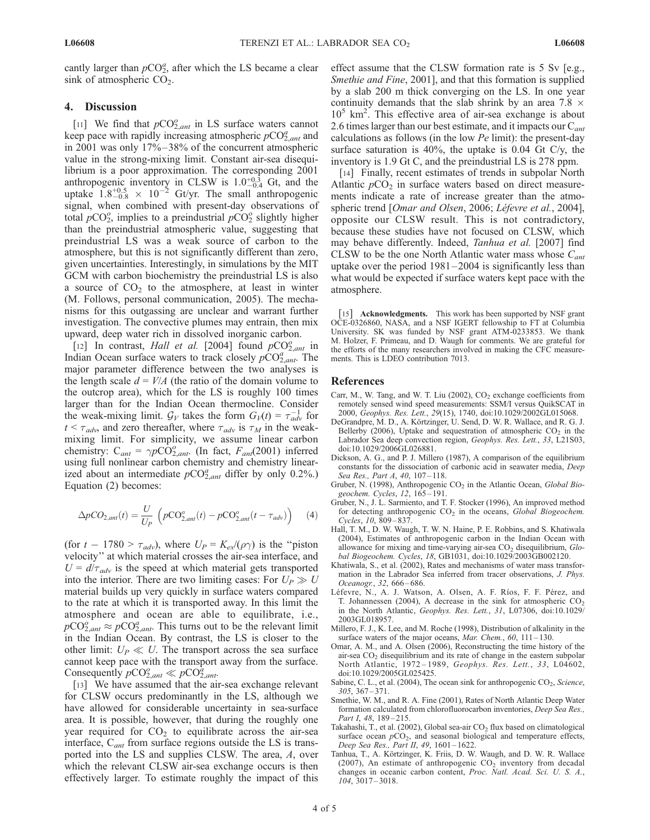cantly larger than  $pCO_2^a$ , after which the LS became a clear sink of atmospheric  $CO<sub>2</sub>$ .

# 4. Discussion

[11] We find that  $pCO_{2,ant}^o$  in LS surface waters cannot keep pace with rapidly increasing atmospheric  $pCO_{2,ant}^a$  and in 2001 was only 17% –38% of the concurrent atmospheric value in the strong-mixing limit. Constant air-sea disequilibrium is a poor approximation. The corresponding 2001 anthropogenic inventory in CLSW is  $1.0^{+0.3}_{-0.4}$  Gt, and the uptake  $1.8^{+0.5}_{-0.8} \times 10^{-2}$  Gt/yr. The small anthropogenic signal, when combined with present-day observations of total  $pCO_2^o$ , implies to a preindustrial  $pCO_2^o$  slightly higher than the preindustrial atmospheric value, suggesting that preindustrial LS was a weak source of carbon to the atmosphere, but this is not significantly different than zero, given uncertainties. Interestingly, in simulations by the MIT GCM with carbon biochemistry the preindustrial LS is also a source of  $CO<sub>2</sub>$  to the atmosphere, at least in winter (M. Follows, personal communication, 2005). The mechanisms for this outgassing are unclear and warrant further investigation. The convective plumes may entrain, then mix upward, deep water rich in dissolved inorganic carbon.

[12] In contrast, *Hall et al.* [2004] found  $pCO_{2,ant}^{o}$  in Indian Ocean surface waters to track closely  $pCO_{2,ant}^{a}$ . The major parameter difference between the two analyses is the length scale  $d = V/A$  (the ratio of the domain volume to the outcrop area), which for the LS is roughly 100 times larger than for the Indian Ocean thermocline. Consider the weak-mixing limit.  $\mathcal{G}_V$  takes the form  $G_V(t) = \tau_{adv}^{-1}$  for  $t < \tau_{adv}$  and zero thereafter, where  $\tau_{adv}$  is  $\tau_M$  in the weakmixing limit. For simplicity, we assume linear carbon chemistry:  $C_{ant} = \gamma p \overrightarrow{CO_{2,ant}}$ . (In fact,  $F_{ant}(2001)$  inferred using full nonlinear carbon chemistry and chemistry linearized about an intermediate  $pCO_{2,ant}^{a}$  differ by only 0.2%.) Equation (2) becomes:

$$
\Delta pCO_{2,ant}(t) = \frac{U}{U_P} \left( pCO_{2,ant}^o(t) - pCO_{2,ant}^o(t - \tau_{adv}) \right) \tag{4}
$$

(for  $t - 1780 > \tau_{adv}$ ), where  $U_P = K_{ex}(\rho \gamma)$  is the "piston velocity'' at which material crosses the air-sea interface, and  $U = d/\tau_{adv}$  is the speed at which material gets transported into the interior. There are two limiting cases: For  $U_P \gg U$ material builds up very quickly in surface waters compared to the rate at which it is transported away. In this limit the atmosphere and ocean are able to equilibrate, i.e.,  $pCO_{2,ant}^{\circ} \approx pCO_{2,ant}^{\circ}$ . This turns out to be the relevant limit in the Indian Ocean. By contrast, the LS is closer to the other limit:  $U_P \ll U$ . The transport across the sea surface cannot keep pace with the transport away from the surface. Consequently  $pCO_{2,ant}^o \ll pCO_{2,ant}^a$ .

[13] We have assumed that the air-sea exchange relevant for CLSW occurs predominantly in the LS, although we have allowed for considerable uncertainty in sea-surface area. It is possible, however, that during the roughly one year required for  $CO<sub>2</sub>$  to equilibrate across the air-sea interface,  $C_{ant}$  from surface regions outside the LS is transported into the LS and supplies CLSW. The area, A, over which the relevant CLSW air-sea exchange occurs is then effectively larger. To estimate roughly the impact of this effect assume that the CLSW formation rate is 5 Sv [e.g., Smethie and Fine, 2001], and that this formation is supplied by a slab 200 m thick converging on the LS. In one year continuity demands that the slab shrink by an area 7.8  $\times$ 10<sup>5</sup> km<sup>2</sup>. This effective area of air-sea exchange is about 2.6 times larger than our best estimate, and it impacts our  $C_{ant}$ calculations as follows (in the low  $Pe$  limit): the present-day surface saturation is 40%, the uptake is 0.04 Gt C/y, the inventory is 1.9 Gt C, and the preindustrial LS is 278 ppm.

[14] Finally, recent estimates of trends in subpolar North Atlantic  $pCO<sub>2</sub>$  in surface waters based on direct measurements indicate a rate of increase greater than the atmospheric trend [Omar and Olsen, 2006; Léfevre et al., 2004], opposite our CLSW result. This is not contradictory, because these studies have not focused on CLSW, which may behave differently. Indeed, Tanhua et al. [2007] find CLSW to be the one North Atlantic water mass whose  $C_{ant}$ uptake over the period 1981 – 2004 is significantly less than what would be expected if surface waters kept pace with the atmosphere.

[15] **Acknowledgments.** This work has been supported by NSF grant OCE-0326860, NASA, and a NSF IGERT fellowship to FT at Columbia University. SK was funded by NSF grant ATM-0233853. We thank M. Holzer, F. Primeau, and D. Waugh for comments. We are grateful for the efforts of the many researchers involved in making the CFC measurements. This is LDEO contribution 7013.

#### References

- Carr, M., W. Tang, and W. T. Liu (2002), CO<sub>2</sub> exchange coefficients from remotely sensed wind speed measurements: SSM/I versus QuikSCAT in 2000, Geophys. Res. Lett., 29(15), 1740, doi:10.1029/2002GL015068.
- DeGrandpre, M. D., A. Körtzinger, U. Send, D. W. R. Wallace, and R. G. J. Bellerby (2006), Uptake and sequestration of atmospheric  $CO<sub>2</sub>$  in the Labrador Sea deep convection region, Geophys. Res. Lett., 33, L21S03, doi:10.1029/2006GL026881.
- Dickson, A. G., and P. J. Millero (1987), A comparison of the equilibrium constants for the dissociation of carbonic acid in seawater media, Deep Sea Res., Part A, 40, 107-118.
- Gruber, N. (1998), Anthropogenic CO<sub>2</sub> in the Atlantic Ocean, Global Biogeochem. Cycles, 12, 165 – 191.
- Gruber, N., J. L. Sarmiento, and T. F. Stocker (1996), An improved method for detecting anthropogenic  $CO<sub>2</sub>$  in the oceans, Global Biogeochem. Cycles, 10, 809-837.
- Hall, T. M., D. W. Waugh, T. W. N. Haine, P. E. Robbins, and S. Khatiwala (2004), Estimates of anthropogenic carbon in the Indian Ocean with allowance for mixing and time-varying air-sea  $CO<sub>2</sub>$  disequilibrium,  $Glo$ bal Biogeochem. Cycles, 18, GB1031, doi:10.1029/2003GB002120.
- Khatiwala, S., et al. (2002), Rates and mechanisms of water mass transformation in the Labrador Sea inferred from tracer observations, J. Phys. Oceanogr., 32, 666-686.
- Léfevre, N., A. J. Watson, A. Olsen, A. F. Ríos, F. F. Pérez, and T. Johannessen (2004), A decrease in the sink for atmospheric  $CO<sub>2</sub>$ in the North Atlantic, Geophys. Res. Lett., 31, L07306, doi:10.1029/ 2003GL018957.
- Millero, F. J., K. Lee, and M. Roche (1998), Distribution of alkalinity in the surface waters of the major oceans, Mar. Chem., 60, 111-130.
- Omar, A. M., and A. Olsen (2006), Reconstructing the time history of the air-sea  $CO<sub>2</sub>$  disequilibrium and its rate of change in the eastern subpolar North Atlantic, 1972 – 1989, Geophys. Res. Lett., 33, L04602, doi:10.1029/2005GL025425.
- Sabine, C. L., et al. (2004), The ocean sink for anthropogenic  $CO<sub>2</sub>$ , Science, 305, 367 – 371.
- Smethie, W. M., and R. A. Fine (2001), Rates of North Atlantic Deep Water formation calculated from chlorofluorocarbon inventories, Deep Sea Res., Part I, 48, 189-215.
- Takahashi, T., et al. (2002), Global sea-air  $CO<sub>2</sub>$  flux based on climatological surface ocean  $pCO<sub>2</sub>$ , and seasonal biological and temperature effects, Deep Sea Res., Part II, 49, 1601-1622
- Tanhua, T., A. Körtzinger, K. Friis, D. W. Waugh, and D. W. R. Wallace (2007), An estimate of anthropogenic  $CO<sub>2</sub>$  inventory from decadal changes in oceanic carbon content, Proc. Natl. Acad. Sci. U. S. A.,  $104, 3017 - 3018.$